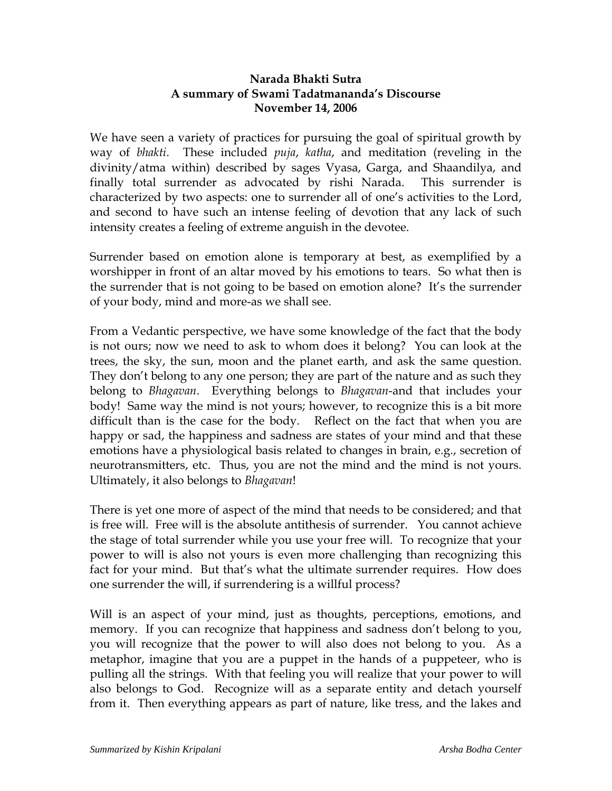# **Narada Bhakti Sutra A summary of Swami Tadatmananda's Discourse November 14, 2006**

We have seen a variety of practices for pursuing the goal of spiritual growth by way of *bhakti*. These included *puja*, *katha*, and meditation (reveling in the divinity/atma within) described by sages Vyasa, Garga, and Shaandilya, and finally total surrender as advocated by rishi Narada. This surrender is characterized by two aspects: one to surrender all of one's activities to the Lord, and second to have such an intense feeling of devotion that any lack of such intensity creates a feeling of extreme anguish in the devotee.

Surrender based on emotion alone is temporary at best, as exemplified by a worshipper in front of an altar moved by his emotions to tears. So what then is the surrender that is not going to be based on emotion alone? It's the surrender of your body, mind and more-as we shall see.

From a Vedantic perspective, we have some knowledge of the fact that the body is not ours; now we need to ask to whom does it belong? You can look at the trees, the sky, the sun, moon and the planet earth, and ask the same question. They don't belong to any one person; they are part of the nature and as such they belong to *Bhagavan*. Everything belongs to *Bhagavan*-and that includes your body! Same way the mind is not yours; however, to recognize this is a bit more difficult than is the case for the body. Reflect on the fact that when you are happy or sad, the happiness and sadness are states of your mind and that these emotions have a physiological basis related to changes in brain, e.g., secretion of neurotransmitters, etc. Thus, you are not the mind and the mind is not yours. Ultimately, it also belongs to *Bhagavan*!

There is yet one more of aspect of the mind that needs to be considered; and that is free will. Free will is the absolute antithesis of surrender. You cannot achieve the stage of total surrender while you use your free will. To recognize that your power to will is also not yours is even more challenging than recognizing this fact for your mind. But that's what the ultimate surrender requires. How does one surrender the will, if surrendering is a willful process?

Will is an aspect of your mind, just as thoughts, perceptions, emotions, and memory. If you can recognize that happiness and sadness don't belong to you, you will recognize that the power to will also does not belong to you. As a metaphor, imagine that you are a puppet in the hands of a puppeteer, who is pulling all the strings. With that feeling you will realize that your power to will also belongs to God. Recognize will as a separate entity and detach yourself from it. Then everything appears as part of nature, like tress, and the lakes and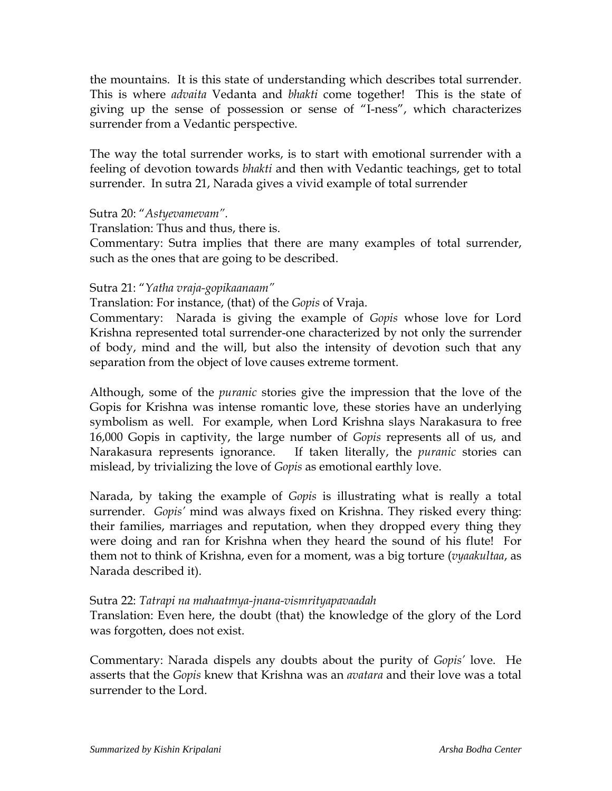the mountains. It is this state of understanding which describes total surrender. This is where *advaita* Vedanta and *bhakti* come together! This is the state of giving up the sense of possession or sense of "I-ness", which characterizes surrender from a Vedantic perspective.

The way the total surrender works, is to start with emotional surrender with a feeling of devotion towards *bhakti* and then with Vedantic teachings, get to total surrender. In sutra 21, Narada gives a vivid example of total surrender

# Sutra 20: "*Astyevamevam".*

Translation: Thus and thus, there is.

Commentary: Sutra implies that there are many examples of total surrender, such as the ones that are going to be described.

### Sutra 21: "*Yatha vraja-gopikaanaam"*

Translation: For instance, (that) of the *Gopis* of Vraja.

Commentary: Narada is giving the example of *Gopis* whose love for Lord Krishna represented total surrender-one characterized by not only the surrender of body, mind and the will, but also the intensity of devotion such that any separation from the object of love causes extreme torment.

Although, some of the *puranic* stories give the impression that the love of the Gopis for Krishna was intense romantic love, these stories have an underlying symbolism as well. For example, when Lord Krishna slays Narakasura to free 16,000 Gopis in captivity, the large number of *Gopis* represents all of us, and Narakasura represents ignorance. If taken literally, the *puranic* stories can mislead, by trivializing the love of *Gopis* as emotional earthly love.

Narada, by taking the example of *Gopis* is illustrating what is really a total surrender. *Gopis'* mind was always fixed on Krishna. They risked every thing: their families, marriages and reputation, when they dropped every thing they were doing and ran for Krishna when they heard the sound of his flute! For them not to think of Krishna, even for a moment, was a big torture (*vyaakultaa*, as Narada described it).

### Sutra 22: *Tatrapi na mahaatmya-jnana-vismrityapavaadah*

Translation: Even here, the doubt (that) the knowledge of the glory of the Lord was forgotten, does not exist.

Commentary: Narada dispels any doubts about the purity of *Gopis'* love. He asserts that the *Gopis* knew that Krishna was an *avatara* and their love was a total surrender to the Lord.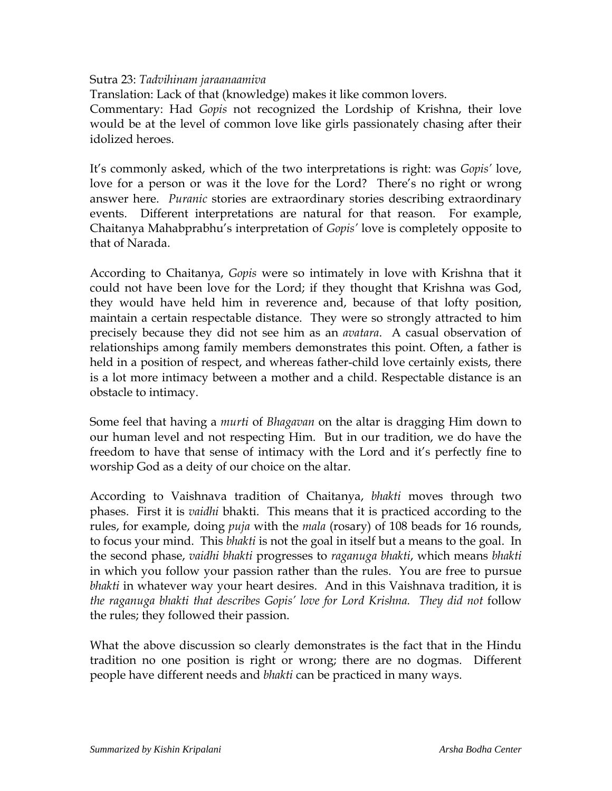#### Sutra 23: *Tadvihinam jaraanaamiva*

Translation: Lack of that (knowledge) makes it like common lovers.

Commentary: Had *Gopis* not recognized the Lordship of Krishna, their love would be at the level of common love like girls passionately chasing after their idolized heroes.

It's commonly asked, which of the two interpretations is right: was *Gopis'* love, love for a person or was it the love for the Lord? There's no right or wrong answer here. *Puranic* stories are extraordinary stories describing extraordinary events. Different interpretations are natural for that reason. For example, Chaitanya Mahabprabhu's interpretation of *Gopis'* love is completely opposite to that of Narada.

According to Chaitanya, *Gopis* were so intimately in love with Krishna that it could not have been love for the Lord; if they thought that Krishna was God, they would have held him in reverence and, because of that lofty position, maintain a certain respectable distance. They were so strongly attracted to him precisely because they did not see him as an *avatara*. A casual observation of relationships among family members demonstrates this point. Often, a father is held in a position of respect, and whereas father-child love certainly exists, there is a lot more intimacy between a mother and a child. Respectable distance is an obstacle to intimacy.

Some feel that having a *murti* of *Bhagavan* on the altar is dragging Him down to our human level and not respecting Him. But in our tradition, we do have the freedom to have that sense of intimacy with the Lord and it's perfectly fine to worship God as a deity of our choice on the altar.

According to Vaishnava tradition of Chaitanya, *bhakti* moves through two phases. First it is *vaidhi* bhakti. This means that it is practiced according to the rules, for example, doing *puja* with the *mala* (rosary) of 108 beads for 16 rounds, to focus your mind. This *bhakti* is not the goal in itself but a means to the goal. In the second phase, *vaidhi bhakti* progresses to *raganuga bhakti*, which means *bhakti* in which you follow your passion rather than the rules. You are free to pursue *bhakti* in whatever way your heart desires. And in this Vaishnava tradition, it is *the raganuga bhakti that describes Gopis' love for Lord Krishna. They did not* follow the rules; they followed their passion.

What the above discussion so clearly demonstrates is the fact that in the Hindu tradition no one position is right or wrong; there are no dogmas. Different people have different needs and *bhakti* can be practiced in many ways.